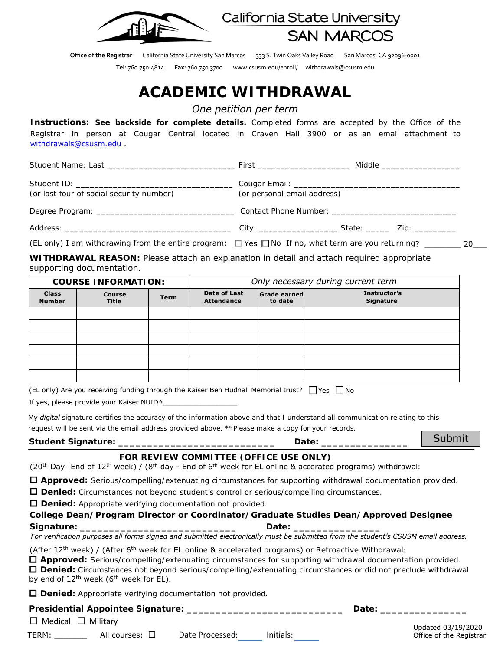

California State University **SAN MARCOS** 

**Office of the Registrar** California State University San Marcos 333 S. Twin Oaks Valley Road San Marcos, CA 92096-0001

**Tel:** 760.750.4814 **Fax:** 760.750.3700 www.csusm.edu/enroll/ withdrawals@csusm.edu

# **ACADEMIC WITHDRAWAL**

*One petition per term*

**Instructions: See backside for complete details.** Completed forms are accepted by the Office of the Registrar in person at Cougar Central located in Craven Hall 3900 or as an email attachment to withdrawals@csusm.edu .

|                                          | Middle ____________________ |  |  |  |
|------------------------------------------|-----------------------------|--|--|--|
| (or last four of social security number) | (or personal email address) |  |  |  |
|                                          |                             |  |  |  |
|                                          |                             |  |  |  |

(EL only) I am withdrawing from the entire program:  $\Box$  Yes  $\Box$  No If no, what term are you returning? 20

**WITHDRAWAL REASON:** Please attach an explanation in detail and attach required appropriate supporting documentation.

|                               | <b>COURSE INFORMATION:</b> |             |                                          |                         | Only necessary during current term |  |
|-------------------------------|----------------------------|-------------|------------------------------------------|-------------------------|------------------------------------|--|
| <b>Class</b><br><b>Number</b> | Course<br>Title            | <b>Term</b> | <b>Date of Last</b><br><b>Attendance</b> | Grade earned<br>to date | Instructor's<br><b>Signature</b>   |  |
|                               |                            |             |                                          |                         |                                    |  |
|                               |                            |             |                                          |                         |                                    |  |
|                               |                            |             |                                          |                         |                                    |  |
|                               |                            |             |                                          |                         |                                    |  |
|                               |                            |             |                                          |                         |                                    |  |
|                               |                            |             |                                          |                         |                                    |  |

(EL only) Are you receiving funding through the Kaiser Ben Hudnall Memorial trust?  $\Box$  Yes  $\Box$  No

If yes, please provide your Kaiser NUID#\_

*My digital signature certifies the accuracy of the information above and that I understand all communication relating to this request will be sent via the email address provided above. \*\*Please make a copy for your records.*

| <b>Student Signature:</b> | Date: |
|---------------------------|-------|
|---------------------------|-------|

Submit

## **FOR REVIEW COMMITTEE (OFFICE USE ONLY)**

(20<sup>th</sup> Day- End of 12<sup>th</sup> week) / (8<sup>th</sup> day - End of 6<sup>th</sup> week for EL online & accerated programs) withdrawal:

**Approved:** Serious/compelling/extenuating circumstances for supporting withdrawal documentation provided.

**Denied:** Circumstances not beyond student's control or serious/compelling circumstances.

**Denied:** Appropriate verifying documentation not provided.

**College Dean/Program Director or Coordinator/Graduate Studies Dean/Approved Designee Signature: Constitute:** *Parameters Date:**Parameters* **<b>***Date: Parameters* 

 *For verification purposes all forms signed and submitted electronically must be submitted from the student's CSUSM email address.*

(After 12<sup>th</sup> week) / (After 6<sup>th</sup> week for EL online & accelerated programs) or Retroactive Withdrawal:

 **Approved:** Serious/compelling/extenuating circumstances for supporting withdrawal documentation provided. **Denied:** Circumstances not beyond serious/compelling/extenuating circumstances or did not preclude withdrawal by end of  $12^{\text{th}}$  week (6<sup>th</sup> week for EL).

**Denied:** Appropriate verifying documentation not provided.

|                                                   |                     | <b>Defined.</b> Applicate verifying documentation not provided. |           |  |                         |
|---------------------------------------------------|---------------------|-----------------------------------------------------------------|-----------|--|-------------------------|
| <b>Presidential Appointee Signature:</b><br>Date: |                     |                                                                 |           |  |                         |
| $\Box$ Medical $\Box$ Military                    |                     |                                                                 |           |  | Updated 03/19/2020      |
| TERM:                                             | All courses: $\Box$ | Date Processed:                                                 | Initials: |  | Office of the Registrar |